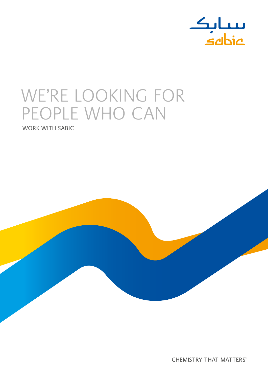

### WE'RE LOOKING FOR PEOPLE WHO CAN

WORK WITH SABIC



**CHEMISTRY THAT MATTERS**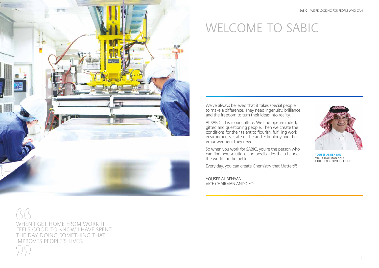#### SABIC | WE'RE LOOKING FOR PEOPLE WHO CAN





### WELCOME TO SABIC

We've always believed that it takes special people to make a difference. They need ingenuity, brilliance and the freedom to turn their ideas into reality.

At SABIC, this is our culture. We find open-minded, gifted and questioning people. Then we create the conditions for their talent to flourish: fulfilling work environments, state-of-the-art technology and the empowerment they need.

WHEN I GET HOME FROM WORK IT FEELS GOOD TO KNOW I HAVE SPENT THE DAY DOING SOMETHING THAT IMPROVES PEOPLE'S LIVES.

So when you work for SABIC, you're the person who can find new solutions and possibilities that change the world for the better.

Every day, you can create Chemistry that Matters™.

YOUSEF AL-BENYAN VICE CHAIRMAN AND CEO

YOUSEF AL-BENYAN VICE CHAIRMAN AND CHIEF EXECUTIVE OFFICER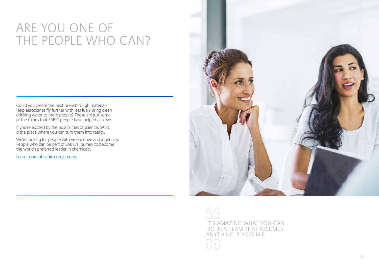### ARE YOU ONE OF THE PEOPLE WHO CAN?

Could you create the next breakthrough material? Help aeroplanes fly further with less fuel? Bring clean drinking water to more people? These are just some of the things that SABIC people have helped achieve.

If you're excited by the possibilities of science, SABIC is the place where you can turn them into reality.

We're looking for people with vision, drive and ingenuity. People who can be part of SABIC's journey to become the world's preferred leader in chemicals.

Learn more at sabic.com/careers



IT'S AMAZING WHAT YOU CAN DO IN A TEAM THAT ASSUMES ANYTHING IS POSSIBLE.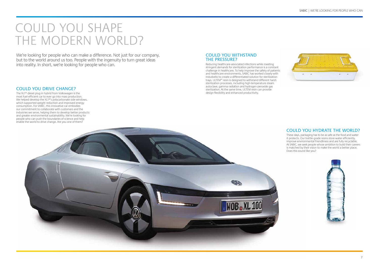

The XL1® diesel plug-in hybrid from Volkswagen is the most fuel-efficient car to ever go into mass production. We helped develop the XL1®'s polycarbonate side windows, which supported weight reduction and improved energy consumption. For SABIC, this innovative car embodies our commitment to collaborate with customers and the industries we serve, helping them to develop better products and greater environmental sustainability. We're looking for people who can push the boundaries of science and help enable the world to drive change. Are you one of them?



### COULD YOU SHAPE THE MODERN WORLD?

#### COULD YOU DRIVE CHANGE?

### COULD YOU HYDRATE THE WORLD?

These days, packaging has to be as safe as the food and water it protects. Our bottle-grade resins store water efficiently, improve environmental friendliness and are fully recyclable. At SABIC, we seek people whose ambition to build their careers is matched by their vision to make the world a better place. Does this sound like you?



We're looking for people who can make a difference. Not just for our company, but to the world around us too. People with the ingenuity to turn great ideas into reality. In short, we're looking for people who can.

#### COULD YOU WITHSTAND THE PRESSURE?

Reducing healthcare-associated infections while meeting stringent demands for sterilization performance is a constant challenge in healthcare. To help improve the safety of patients and healthcare environments, SABIC has worked closely with Indusbello to create a differentiated solution for sterilization trays. ULTEM™ resin is designed to withstand different harsh sterilization processes, including high-temperature steam autoclave, gamma radiation and hydrogen-peroxide gas sterilization. At the same time, ULTEM resin can provide design flexibility and enhanced productivity.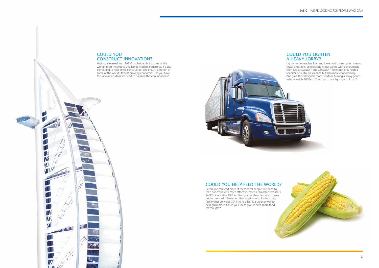### COULD YOU HELP FEED THE WORLD?

Before we can feed more of the world's people, we need to feed our crops with more effective, more sustainable fertilizers. SABIC's innovative NPK fertilizer grades allow farmers to grow better crops with fewer fertilizer applications. And our new facility that converts  $CO<sub>2</sub>$  into fertilizer is a greener way to help grow more. Could your ideas give us even more food for thought?

### COULD YOU LIGHTEN A HEAVY LORRY?

Lighter lorries use less fuel, and lower fuel consumption means fewer emissions. So replacing metal panels with panels made from SABIC's XENOY™ and CYCOLOY™ resins not only helped Scania's lorries to run cleaner, but also more economically. And gave their designers more freedom. Making a heavy goods vehicle weigh 40% less. Could you make light work of that?



### COULD YOU CONSTRUCT INNOVATION?

W

l k 747 RU.

 $\mathcal{L}_{\mathcal{F}_{\mathcal{G}}}$ 

High-quality steel from SABIC has helped build some of the world's most innovative and iconic modern structures. It's also continuing to help in the construction and industrialization of some of the world's fastest-growing economies. Do you have the innovative ideas we need to build on these foundations?

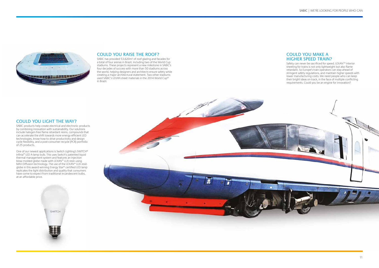

#### COULD YOU RAISE THE ROOF?

SABIC has provided  $53,620m^2$  of roof glazing and facades for a total of four arenas in Brazil, including two of the World Cup stadiums. These projects represent a new milestone in SABIC's four decades of success with more than 50 stadiums across the world, helping designers and architects ensure safety while creating a major architectural statement. Two other stadiums used SABIC's LEXAN sheet materials in the 2014 World Cup® in Brazil.

Safety can never be sacrificed for speed. LEXAN™ interior sheeting for trains is not only lightweight but also flame retardant. So Europe's train operators can stay ahead of stringent safety regulations, and maintain higher speeds with lower manufacturing costs. We need people who can keep their bright ideas on track, in the face of multiple conflicting requirements. Could you be an engine for innovation?

### COULD YOU MAKE A HIGHER SPEED TRAIN?

#### COULD YOU LIGHT THE WAY?

SABIC products help create electrical and electronic products by combining innovation with sustainability. Our solutions include halogen-free flame retardant resins, compounds that can accelerate the shift towards more energy-efficient LED technologies, know-how to drive productivity and design cycle flexibility, and a post-consumer recycle (PCR) portfolio of 25 products.

One of our newest applications is Switch Lighting's SWITCH® infinia™ LED A-lamp bulb. This uses Switch's patented liquid thermal management system and features an injection blow-molded globe made with LEXAN™ LUX resin using MAX Diffusion technology. The use of the LEXAN™ LUX resin globe in this award-winning Energy Star® certified LED lamp replicates the light distribution and quality that consumers have come to expect from traditional incandescent bulbs, at an affordable price.

**SWITCH** 

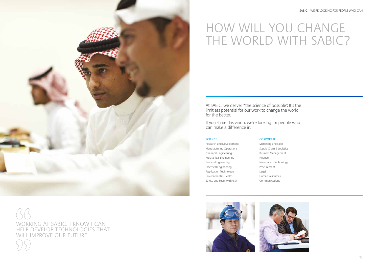## HOW WILL YOU CHANGE THE WORLD WITH SABIC?



WORKING AT SABIC, I KNOW I CAN HELP DEVELOP TECHNOLOGIES THAT WILL IMPROVE OUR FUTURE.

If you share this vision, we're looking for people who can make a difference in:

Research and Development Marketing and Sales Manufacturing Operations Supply Chain & Logistics Chemical Engineering **Business Management** Mechanical Engineering Finance Process Engineering **Information Technology** Electrical Engineering Procurement Application Technology Legal Environmental, Health, Human Resources Safety and Security (EHSS) Communications

#### SCIENCE CORPORATE





At SABIC, we deliver "the science of possible". It's the limitless potential for our work to change the world for the better.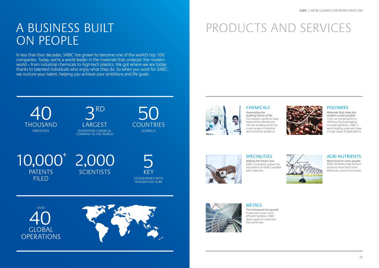

### **POLYMERS**

### A BUSINESS BUILT ON PEOPLE

Assembling the building blocks of life Our experts transform basic hydrocarbon feedstocks into the building blocks for a vast range of industrial and consumer products.



### **SPECIALITIES**

Materials that make the modern world possible From car components to clothing, food packaging to water pipelines, SABIC's world-leading polymers have a huge range of applications.



In less than four decades, SABIC has grown to become one of the world's top 100 companies. Today, we're a world leader in the materials that underpin the modern world – from industrial chemicals to high-tech plastics. We got where we are today thanks to talented individuals who enjoy what they do. So when you work for SABIC, we nurture your talent, helping you achieve your ambitions and life goals.

### AGRI-NUTRIENTS

More food for more people SABIC fertilizers help farmers produce more food more efficiently, around the world.

Making the future now SABIC constantly pushes the boundaries of what's possible with materials.



#### **METALS**

The framework for growth Produced in ever more efficient facilities, SABIC steel supports customers the world over.









### **CHEMICALS**

### 10,000+ 2,000 PATENTS FILED

# SCIENTISTS



LARGEST COUNTRIES GLOBALLY 50



## PRODUCTS AND SERVICES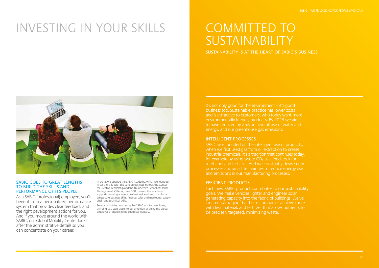# SUSTAINABILITY

## INVESTING IN YOUR SKILLS COMMITTED TO



#### SABIC GOES TO GREAT LENGTHS TO BUILD THE SKILLS AND PERFORMANCE OF ITS PEOPLE

As a SABIC (professional) employee, you'll benefit from a personalized performance system that provides clear feedback and the right development actions for you. And if you move around the world with SABIC, our Global Mobility Center looks after the administrative details so you can concentrate on your career.

In 2012, we opened the SABIC Academy, which we founded in partnership with the London Business School, the Center for Creative Leadership and the Thunderbird School of Global Management. Offering over 100 courses, the academy supports learning at every professional level and in six broad areas: core business skills, finance, sales and marketing, supply chain and technical skills.

Several countries now recognize SABIC as a top employer, bringing us a step closer to our ambition of being the global employer of choice in the chemical industry.

It's not only good for the environment – it's good business too. Sustainable practice has lower costs and is attractive to customers, who today want more environmentally friendly products. By 2025 we aim to have reduced by 25% our overall use of water and energy, and our greenhouse gas emissions.

### INTELLIGENT PROCESSES

SABIC was founded on the intelligent use of products, when we first used gas from oil extraction to create industrial chemicals. It's a tradition that continues today, for example by using waste  $CO<sub>2</sub>$  as a feedstock for methanol and fertilizer. And we constantly devise new processes and smart techniques to reduce energy use and emissions in our manufacturing processes.

### EFFICIENT PRODUCTS

Each new SABIC product contributes to our sustainability goals. We make vehicles lighter and engineer solar generating capacity into the fabric of buildings. We've created packaging that helps companies achieve more with less material, and fertilizer that allows nutrients to be precisely targeted, minimizing waste.



SUSTAINABILITY IS AT THE HEART OF SABIC'S BUSINESS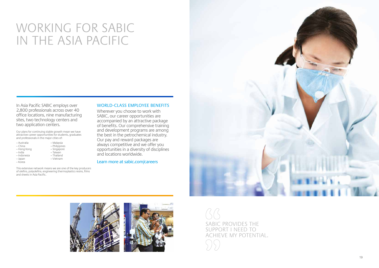

### WORKING FOR SABIC IN THE ASIA PACIFIC

In Asia Pacific SABIC employs over 2,800 professionals across over 40 office locations, nine manufacturing sites, two technology centers and two application centers.

Our plans for continuing stable growth mean we have attractive career opportunities for students, graduates and professionals in the major cities of:

| - Malaysia    |
|---------------|
| - Philippines |
| - Singapore   |
| - Taiwan      |
| $-$ Thailand  |
| – Vietnam     |
|               |

- Korea
- This extensive network means we are one of the key producers of olefins, polyolefins, engineering thermoplastics resins, films

and sheets in Asia Pacific.

### WORLD-CLASS EMPLOYEE BENEFITS

Wherever you choose to work with SABIC, our career opportunities are accompanied by an attractive package of benefits. Our comprehensive training and development programs are among the best in the petrochemical industry. Our pay and reward packages are always competitive and we offer you opportunities in a diversity of disciplines and locations worldwide.

Learn more at sabic.com/careers



SABIC PROVIDES THE SUPPORT I NEED TO ACHIEVE MY POTENTIAL.